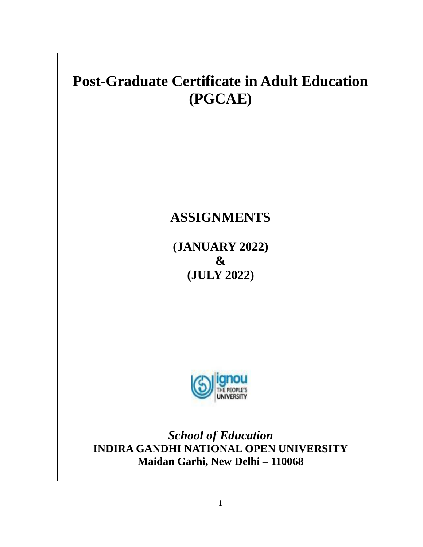

1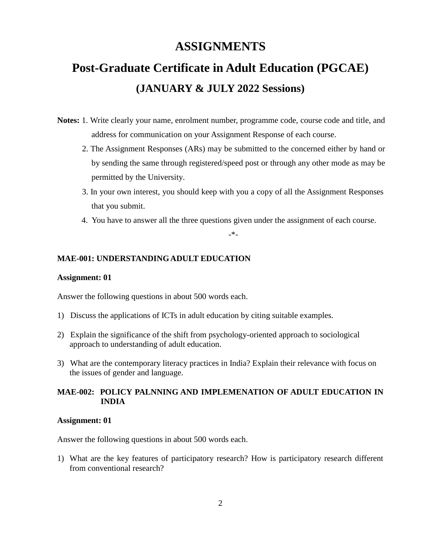# **ASSIGNMENTS**

# **Post-Graduate Certificate in Adult Education (PGCAE) (JANUARY & JULY 2022 Sessions)**

- **Notes:** 1. Write clearly your name, enrolment number, programme code, course code and title, and address for communication on your Assignment Response of each course.
	- 2. The Assignment Responses (ARs) may be submitted to the concerned either by hand or by sending the same through registered/speed post or through any other mode as may be permitted by the University.
	- 3. In your own interest, you should keep with you a copy of all the Assignment Responses that you submit.
	- 4. You have to answer all the three questions given under the assignment of each course.

-\*-

### **MAE-001: UNDERSTANDING ADULT EDUCATION**

#### **Assignment: 01**

Answer the following questions in about 500 words each.

- 1) Discuss the applications of ICTs in adult education by citing suitable examples.
- 2) Explain the significance of the shift from psychology-oriented approach to sociological approach to understanding of adult education.
- 3) What are the contemporary literacy practices in India? Explain their relevance with focus on the issues of gender and language.

## **MAE-002: POLICY PALNNING AND IMPLEMENATION OF ADULT EDUCATION IN INDIA**

#### **Assignment: 01**

Answer the following questions in about 500 words each.

1) What are the key features of participatory research? How is participatory research different from conventional research?